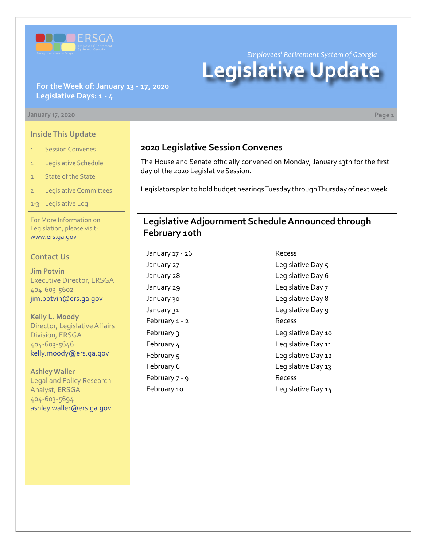

*Employees' Retirement System of Georgia*

# **Legislative Update**

#### **For the Week of: January 13 - 17, 2020 Legislative Days: 1 - 4**

#### **January 17, 2020 Page 1**

**Inside This Update**

- 1 Session Convenes
- 1 Legislative Schedule
- 2 State of the State
- 2 Legislative Committees
- 2-3 Legislative Log

For More Information on Legislation, please visit: [www.ers.ga.gov](http://www.ers.ga.gov/default.aspx)

#### **Contact Us**

**Jim Potvin** Executive Director, ERSGA 404-603-5602 jim.potvin@ers.ga.gov

**Kelly L. Moody** Director, Legislative Affairs Division, ERSGA 404-603-5646 kelly.moody@ers.ga.gov

**Ashley Waller** Legal and Policy Research Analyst, ERSGA 404-603-5694 ashley.waller@ers.ga.gov

## **2020 Legislative Session Convenes**

The House and Senate officially convened on Monday, January 13th for the first day of the 2020 Legislative Session.

Legislators plan to hold budget hearings Tuesday through Thursday of next week.

## **Legislative Adjournment Schedule Announced through February 10th**

January 17 - 26 Recess February 1 - 2 Recess February 7 - 9 Recess

January 27 degree of the Legislative Day 5 January 28 **Legislative Day 6** January 29 **Legislative Day 7** January 30 Legislative Day 8 January 31 Legislative Day 9 February 3 and 10 Legislative Day 10 February 4 Legislative Day 11 February 5 Legislative Day 12 February 6 **Legislative Day 13** February 10 **Legislative Day 14**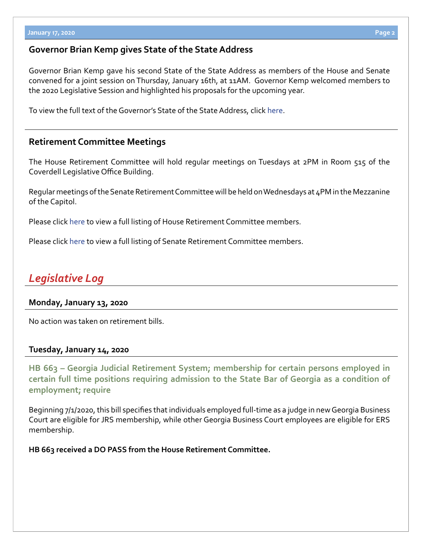## **Governor Brian Kemp gives State of the State Address**

Governor Brian Kemp gave his second State of the State Address as members of the House and Senate convened for a joint session on Thursday, January 16th, at 11AM. Governor Kemp welcomed members to the 2020 Legislative Session and highlighted his proposals for the upcoming year.

To view the full text of the Governor's State of the State Address, clic[k](https://gov.georgia.gov/press-releases/2020-01-16/governor-brian-p-kemps-2020-state-state-address) [here.](https://www.11alive.com/article/news/governor-brian-kemp-issues-first-state-of-the-state-address-read-full-transcript/85-7af10d01-6c5b-40cd-b991-2d11ac43d5ea)

### **Retirement Committee Meetings**

The House Retirement Committee will hold regular meetings on Tuesdays at 2PM in Room 515 of the Coverdell Legislative Office Building.

Regular meetings of the Senate Retirement Committee will be held on Wednesdays at 4PM in the Mezzanine of the Capitol.

Please click [here](http://www.house.ga.gov/Committees/en-US/committee.aspx?Committee=108&Session=27) to view a full listing of House Retirement Committee members.

Please click [here](http://www.senate.ga.gov/committees/en-US/committee.aspx?Committee=82&Session=27) to view a full listing of Senate Retirement Committee members.

## *Legislative Log*

#### **Monday, January 13, 2020**

No action was taken on retirement bills.

#### **Tuesday, January 14, 2020**

**HB 663 [–](http://www.legis.ga.gov/legislation/en-US/Display/20192020/SB/14) Georgia Judicial Retirement System; membership for certain persons employed in [certain full time positions requiring admission to the State Bar of Georgia as a condition of](http://www.legis.ga.gov/legislation/en-US/Display/20192020/HB/663)  employment; require**

Beginning 7/1/2020, this bill specifies that individuals employed full-time as a judge in new Georgia Business Court are eligible for JRS membership, while other Georgia Business Court employees are eligible for ERS membership.

**HB 663 received a DO PASS from the House Retirement Committee.**